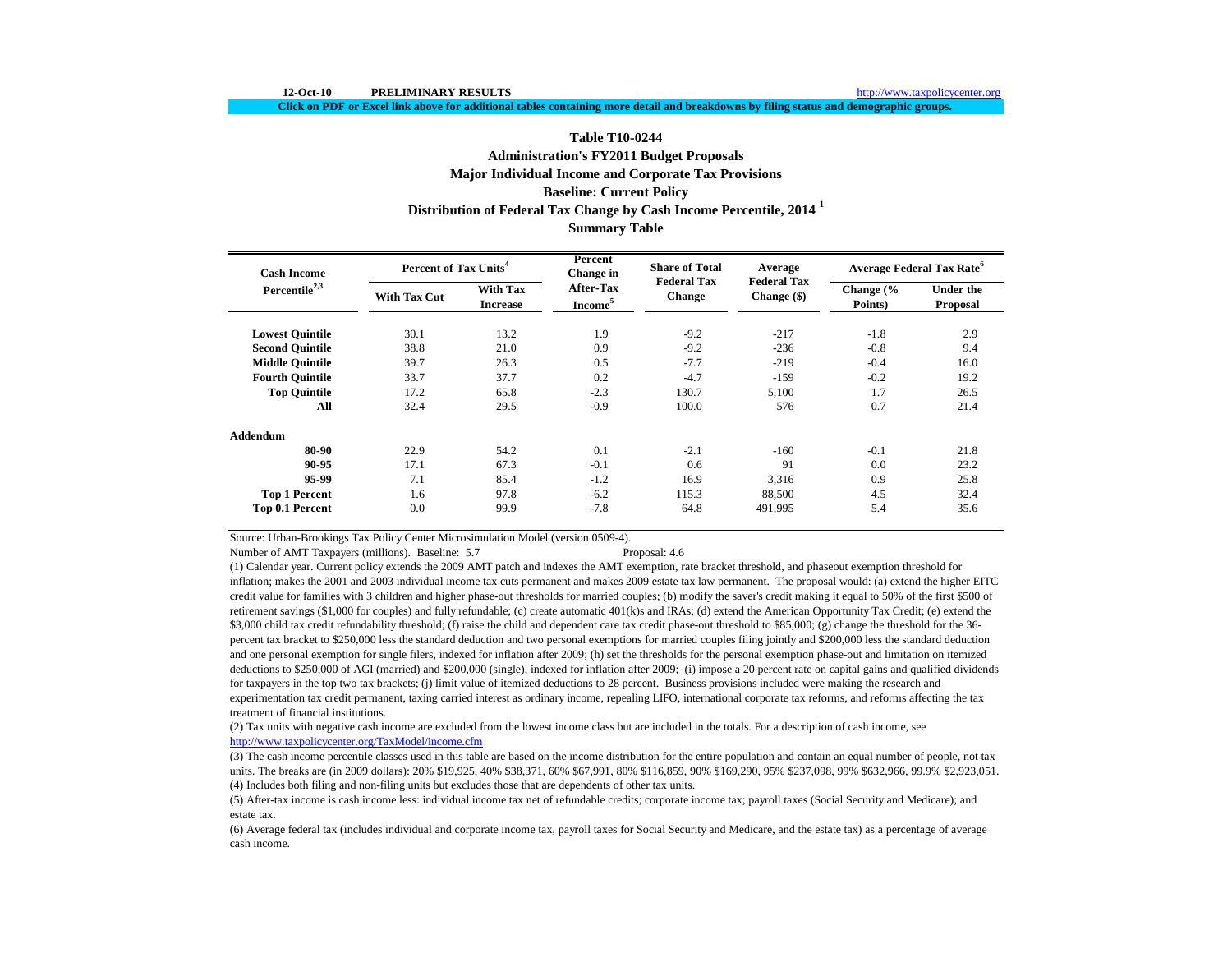**Click on PDF or Excel link above for additional tables containing more detail and breakdowns by filing status and demographic groups.**

# **Distribution of Federal Tax Change by Cash Income Percentile, 2014 <sup>1</sup> Table T10-0244 Administration's FY2011 Budget Proposals Major Individual Income and Corporate Tax Provisions Baseline: Current Policy**

# **Summary Table**

| <b>Cash Income</b>        | Percent of Tax Units <sup>4</sup> |                                    | Percent<br>Change in             | <b>Share of Total</b>               | Average                             | Average Federal Tax Rate <sup>o</sup> |                              |  |
|---------------------------|-----------------------------------|------------------------------------|----------------------------------|-------------------------------------|-------------------------------------|---------------------------------------|------------------------------|--|
| Percentile <sup>2,3</sup> | <b>With Tax Cut</b>               | <b>With Tax</b><br><b>Increase</b> | After-Tax<br>Income <sup>5</sup> | <b>Federal Tax</b><br><b>Change</b> | <b>Federal Tax</b><br>Change $(\$)$ | Change $\frac{6}{6}$<br>Points)       | <b>Under the</b><br>Proposal |  |
| <b>Lowest Quintile</b>    | 30.1                              | 13.2                               | 1.9                              | $-9.2$                              | $-217$                              | $-1.8$                                | 2.9                          |  |
| <b>Second Quintile</b>    | 38.8                              | 21.0                               | 0.9                              | $-9.2$                              | $-236$                              | $-0.8$                                | 9.4                          |  |
| <b>Middle Ouintile</b>    | 39.7                              | 26.3                               | 0.5                              | $-7.7$                              | $-219$                              | $-0.4$                                | 16.0                         |  |
| <b>Fourth Quintile</b>    | 33.7                              | 37.7                               | 0.2                              | $-4.7$                              | $-159$                              | $-0.2$                                | 19.2                         |  |
| <b>Top Quintile</b>       | 17.2                              | 65.8                               | $-2.3$                           | 130.7                               | 5,100                               | 1.7                                   | 26.5                         |  |
| All                       | 32.4                              | 29.5                               | $-0.9$                           | 100.0                               | 576                                 | 0.7                                   | 21.4                         |  |
| Addendum                  |                                   |                                    |                                  |                                     |                                     |                                       |                              |  |
| 80-90                     | 22.9                              | 54.2                               | 0.1                              | $-2.1$                              | $-160$                              | $-0.1$                                | 21.8                         |  |
| 90-95                     | 17.1                              | 67.3                               | $-0.1$                           | 0.6                                 | 91                                  | 0.0                                   | 23.2                         |  |
| 95-99                     | 7.1                               | 85.4                               | $-1.2$                           | 16.9                                | 3,316                               | 0.9                                   | 25.8                         |  |
| <b>Top 1 Percent</b>      | 1.6                               | 97.8                               | $-6.2$                           | 115.3                               | 88,500                              | 4.5                                   | 32.4                         |  |
| Top 0.1 Percent           | 0.0                               | 99.9                               | $-7.8$                           | 64.8                                | 491,995                             | 5.4                                   | 35.6                         |  |

Source: Urban-Brookings Tax Policy Center Microsimulation Model (version 0509-4).

Number of AMT Taxpayers (millions). Baseline: 5.7 Proposal: 4.6

(1) Calendar year. Current policy extends the 2009 AMT patch and indexes the AMT exemption, rate bracket threshold, and phaseout exemption threshold for inflation; makes the 2001 and 2003 individual income tax cuts permanent and makes 2009 estate tax law permanent. The proposal would: (a) extend the higher EITC credit value for families with 3 children and higher phase-out thresholds for married couples; (b) modify the saver's credit making it equal to 50% of the first \$500 of retirement savings (\$1,000 for couples) and fully refundable; (c) create automatic 401(k)s and IRAs; (d) extend the American Opportunity Tax Credit; (e) extend the \$3,000 child tax credit refundability threshold; (f) raise the child and dependent care tax credit phase-out threshold to \$85,000; (g) change the threshold for the 36percent tax bracket to \$250,000 less the standard deduction and two personal exemptions for married couples filing jointly and \$200,000 less the standard deduction and one personal exemption for single filers, indexed for inflation after 2009; (h) set the thresholds for the personal exemption phase-out and limitation on itemized deductions to \$250,000 of AGI (married) and \$200,000 (single), indexed for inflation after 2009; (i) impose a 20 percent rate on capital gains and qualified dividends for taxpayers in the top two tax brackets; (j) limit value of itemized deductions to 28 percent. Business provisions included were making the research and experimentation tax credit permanent, taxing carried interest as ordinary income, repealing LIFO, international corporate tax reforms, and reforms affecting the tax treatment of financial institutions.

(2) Tax units with negative cash income are excluded from the lowest income class but are included in the totals. For a description of cash income, see <http://www.taxpolicycenter.org/TaxModel/income.cfm>

(4) Includes both filing and non-filing units but excludes those that are dependents of other tax units. (3) The cash income percentile classes used in this table are based on the income distribution for the entire population and contain an equal number of people, not tax units. The breaks are (in 2009 dollars): 20% \$19,925, 40% \$38,371, 60% \$67,991, 80% \$116,859, 90% \$169,290, 95% \$237,098, 99% \$632,966, 99.9% \$2,923,051.

(5) After-tax income is cash income less: individual income tax net of refundable credits; corporate income tax; payroll taxes (Social Security and Medicare); and estate tax.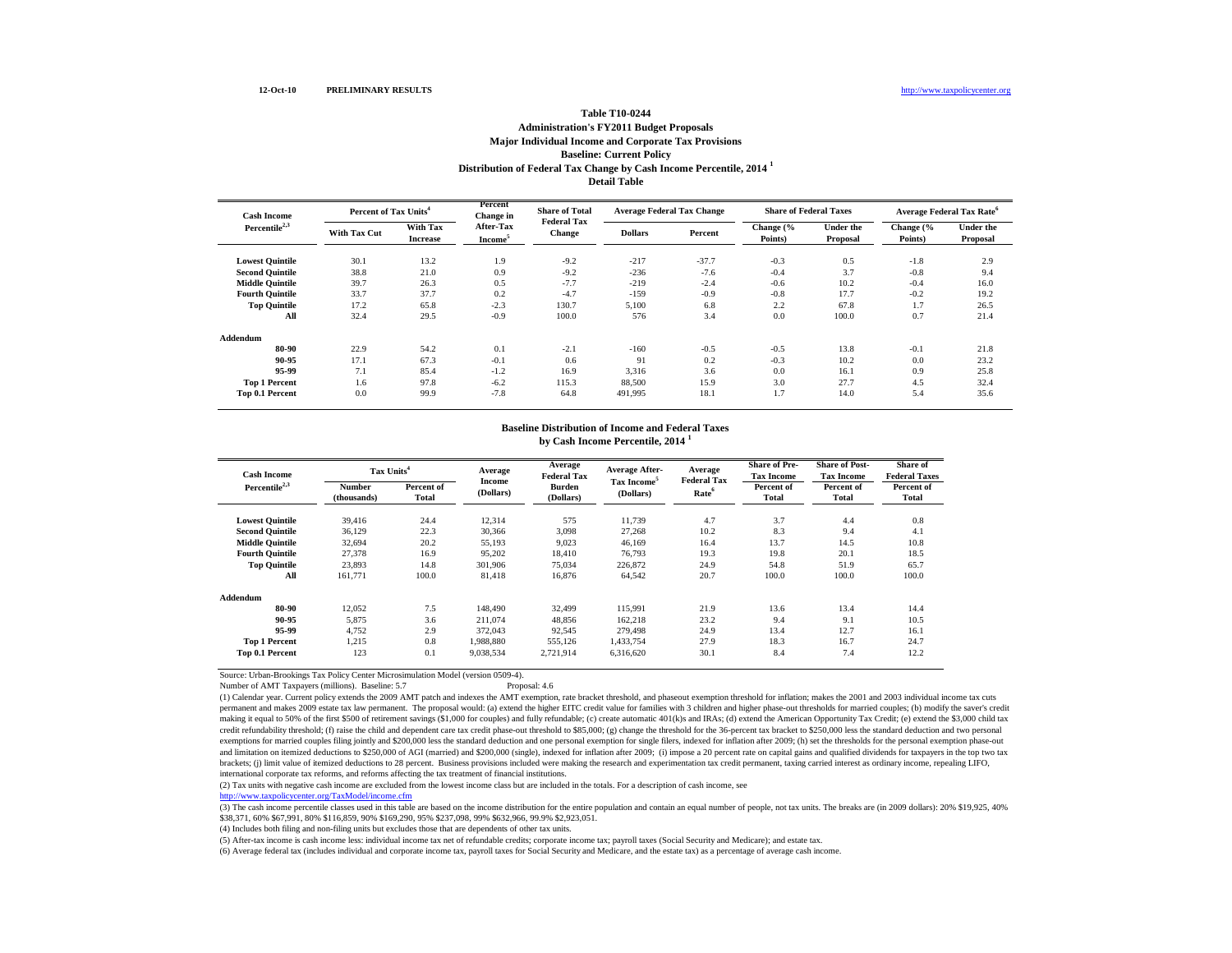#### **Distribution of Federal Tax Change by Cash Income Percentile, 2014 <sup>1</sup> Detail Table Table T10-0244 Administration's FY2011 Budget Proposals Major Individual Income and Corporate Tax Provisions Baseline: Current Policy**

| <b>Cash Income</b>        |                     | Percent of Tax Units <sup>4</sup> |                                  | <b>Share of Total</b><br><b>Federal Tax</b> | <b>Average Federal Tax Change</b> |         | <b>Share of Federal Taxes</b> |                              | Average Federal Tax Rate <sup>6</sup> |                              |
|---------------------------|---------------------|-----------------------------------|----------------------------------|---------------------------------------------|-----------------------------------|---------|-------------------------------|------------------------------|---------------------------------------|------------------------------|
| Percentile <sup>2,3</sup> | <b>With Tax Cut</b> | With Tax<br><b>Increase</b>       | After-Tax<br>Income <sup>5</sup> | <b>Change</b>                               | <b>Dollars</b>                    | Percent | Change (%<br>Points)          | <b>Under the</b><br>Proposal | Change (%<br>Points)                  | <b>Under the</b><br>Proposal |
| <b>Lowest Quintile</b>    | 30.1                | 13.2                              | 1.9                              | $-9.2$                                      | $-217$                            | $-37.7$ | $-0.3$                        | 0.5                          | $-1.8$                                | 2.9                          |
| <b>Second Quintile</b>    | 38.8                | 21.0                              | 0.9                              | $-9.2$                                      | $-236$                            | $-7.6$  | $-0.4$                        | 3.7                          | $-0.8$                                | 9.4                          |
| <b>Middle Quintile</b>    | 39.7                | 26.3                              | 0.5                              | $-7.7$                                      | $-219$                            | $-2.4$  | $-0.6$                        | 10.2                         | $-0.4$                                | 16.0                         |
| <b>Fourth Quintile</b>    | 33.7                | 37.7                              | 0.2                              | $-4.7$                                      | $-159$                            | $-0.9$  | $-0.8$                        | 17.7                         | $-0.2$                                | 19.2                         |
| <b>Top Quintile</b>       | 17.2                | 65.8                              | $-2.3$                           | 130.7                                       | 5,100                             | 6.8     | 2.2                           | 67.8                         | 1.7                                   | 26.5                         |
| All                       | 32.4                | 29.5                              | $-0.9$                           | 100.0                                       | 576                               | 3.4     | 0.0                           | 100.0                        | 0.7                                   | 21.4                         |
| Addendum                  |                     |                                   |                                  |                                             |                                   |         |                               |                              |                                       |                              |
| 80-90                     | 22.9                | 54.2                              | 0.1                              | $-2.1$                                      | $-160$                            | $-0.5$  | $-0.5$                        | 13.8                         | $-0.1$                                | 21.8                         |
| 90-95                     | 17.1                | 67.3                              | $-0.1$                           | 0.6                                         | 91                                | 0.2     | $-0.3$                        | 10.2                         | 0.0                                   | 23.2                         |
| 95-99                     | 7.1                 | 85.4                              | $-1.2$                           | 16.9                                        | 3,316                             | 3.6     | 0.0                           | 16.1                         | 0.9                                   | 25.8                         |
| <b>Top 1 Percent</b>      | 1.6                 | 97.8                              | $-6.2$                           | 115.3                                       | 88,500                            | 15.9    | 3.0                           | 27.7                         | 4.5                                   | 32.4                         |
| Top 0.1 Percent           | 0.0                 | 99.9                              | $-7.8$                           | 64.8                                        | 491,995                           | 18.1    | 1.7                           | 14.0                         | 5.4                                   | 35.6                         |

#### **Baseline Distribution of Income and Federal Taxes**

**by Cash Income Percentile, 2014 <sup>1</sup>**

| <b>Cash Income</b>     | Tax Units <sup>4</sup>       |                     | Average             | Average<br><b>Federal Tax</b> | Average After-                       | Average<br><b>Federal Tax</b> | <b>Share of Pre-</b><br><b>Tax Income</b> | <b>Share of Post-</b><br><b>Tax Income</b> | Share of<br><b>Federal Taxes</b> |
|------------------------|------------------------------|---------------------|---------------------|-------------------------------|--------------------------------------|-------------------------------|-------------------------------------------|--------------------------------------------|----------------------------------|
| Percentile $2,3$       | <b>Number</b><br>(thousands) | Percent of<br>Total | Income<br>(Dollars) | <b>Burden</b><br>(Dollars)    | Tax Income <sup>5</sup><br>(Dollars) | Rate <sup>6</sup>             | Percent of<br><b>Total</b>                | Percent of<br>Total                        | Percent of<br>Total              |
| <b>Lowest Quintile</b> | 39.416                       | 24.4                | 12,314              | 575                           | 11,739                               | 4.7                           | 3.7                                       | 4.4                                        | 0.8                              |
| <b>Second Quintile</b> | 36,129                       | 22.3                | 30,366              | 3,098                         | 27,268                               | 10.2                          | 8.3                                       | 9.4                                        | 4.1                              |
| <b>Middle Quintile</b> | 32,694                       | 20.2                | 55,193              | 9,023                         | 46,169                               | 16.4                          | 13.7                                      | 14.5                                       | 10.8                             |
| <b>Fourth Quintile</b> | 27,378                       | 16.9                | 95,202              | 18,410                        | 76,793                               | 19.3                          | 19.8                                      | 20.1                                       | 18.5                             |
| <b>Top Quintile</b>    | 23,893                       | 14.8                | 301,906             | 75,034                        | 226,872                              | 24.9                          | 54.8                                      | 51.9                                       | 65.7                             |
| All                    | 161,771                      | 100.0               | 81,418              | 16,876                        | 64,542                               | 20.7                          | 100.0                                     | 100.0                                      | 100.0                            |
| Addendum               |                              |                     |                     |                               |                                      |                               |                                           |                                            |                                  |
| 80-90                  | 12,052                       | 7.5                 | 148,490             | 32,499                        | 115,991                              | 21.9                          | 13.6                                      | 13.4                                       | 14.4                             |
| 90-95                  | 5,875                        | 3.6                 | 211,074             | 48,856                        | 162,218                              | 23.2                          | 9.4                                       | 9.1                                        | 10.5                             |
| 95-99                  | 4,752                        | 2.9                 | 372,043             | 92,545                        | 279,498                              | 24.9                          | 13.4                                      | 12.7                                       | 16.1                             |
| <b>Top 1 Percent</b>   | 1,215                        | 0.8                 | 1,988,880           | 555,126                       | 1,433,754                            | 27.9                          | 18.3                                      | 16.7                                       | 24.7                             |
| Top 0.1 Percent        | 123                          | 0.1                 | 9,038,534           | 2,721,914                     | 6,316,620                            | 30.1                          | 8.4                                       | 7.4                                        | 12.2                             |

Source: Urban-Brookings Tax Policy Center Microsimulation Model (version 0509-4).

Number of AMT Taxpayers (millions). Baseline: 5.7

(1) Calendar year. Current policy extends the 2009 AMT patch and indexes the AMT exemption, rate bracket threshold, and phaseout exemption threshold for inflation; makes the 2001 and 2003 individual income tax cuts permanent and makes 2009 estate tax law permanent. The proposal would: (a) extend the higher EITC credit value for families with 3 children and higher phase-out thresholds for married couples; (b) modify the saver's credit making it equal to 50% of the first \$500 of retirement savings (\$1,000 for couples) and fully refundable; (c) create automatic 401(k)s and IRAs; (d) extend the American Opportunity Tax Credit; (e) extend the \$3,000 child t credit refundability threshold; (f) raise the child and dependent care tax credit phase-out threshold to \$85,000; (g) change the threshold for the 36-percent tax bracket to \$250,000 less the standard deduction and two pers exemptions for married couples filing jointly and \$200,000 less the standard deduction and one personal exemption for single filers, indexed for inflation after 2009; (h) set the thresholds for the personal exemption phase and limitation on itemized deductions to \$250,000 of AGI (married) and \$200,000 (single), indexed for inflation after 2009; (i) impose a 20 percent rate on capital gains and qualified dividends for taxpayers in the top two brackets; (j) limit value of itemized deductions to 28 percent. Business provisions included were making the research and experimentation tax credit permanent, taxing carried interest as ordinary income, repealing LIFO, international corporate tax reforms, and reforms affecting the tax treatment of financial institutions.

(2) Tax units with negative cash income are excluded from the lowest income class but are included in the totals. For a description of cash income, see

<http://www.taxpolicycenter.org/TaxModel/income.cfm>

(3) The cash income percentile classes used in this table are based on the income distribution for the entire population and contain an equal number of people, not tax units. The breaks are (in 2009 dollars): 20% \$19,925, \$38,371, 60% \$67,991, 80% \$116,859, 90% \$169,290, 95% \$237,098, 99% \$632,966, 99.9% \$2,923,051.

(4) Includes both filing and non-filing units but excludes those that are dependents of other tax units.

(5) After-tax income is cash income less: individual income tax net of refundable credits; corporate income tax; payroll taxes (Social Security and Medicare); and estate tax.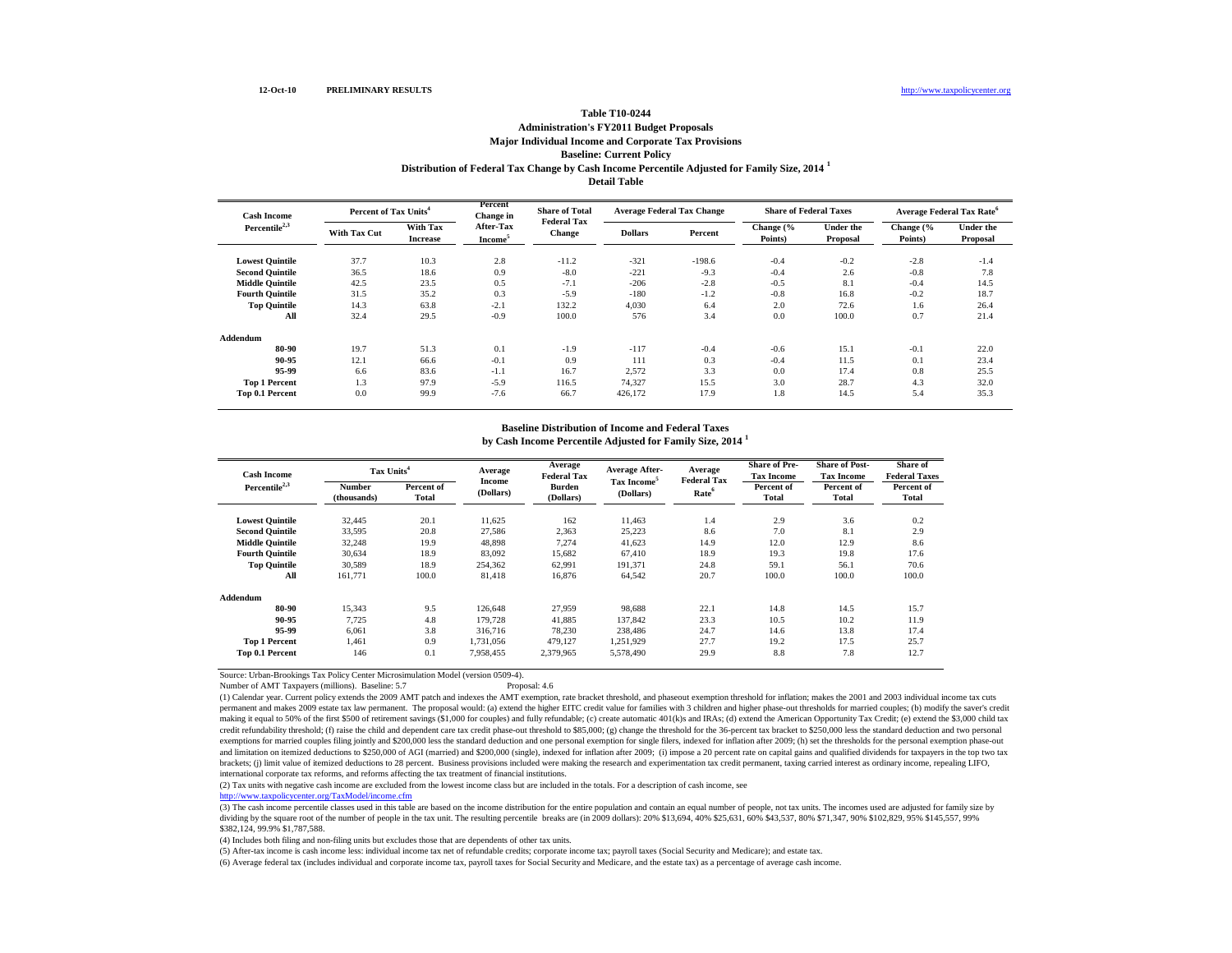#### **Distribution of Federal Tax Change by Cash Income Percentile Adjusted for Family Size, 2014 <sup>1</sup> Detail Table Table T10-0244 Administration's FY2011 Budget Proposals Major Individual Income and Corporate Tax Provisions Baseline: Current Policy**

**Lowest Quintile** 37.7 10.3 2.8 -11.2 -321 -198.6 -0.4 -0.2 -2.8 -1.4 **Second Quintile**  $36.5$  18.6 0.9 -8.0 -221 -9.3 -0.4 2.6 -0.8 7.8 **Middle Quintile**  $42.5$   $23.5$   $0.5$   $-7.1$   $-206$   $-2.8$   $-0.5$   $8.1$   $-0.4$   $14.5$ **Fourth Quintile** 31.5 35.2 0.3 -5.9 -180 -1.2 -0.8 16.8 -0.2 18.7 **Top Quintile** 14.3 63.8 -2.1 132.2 4,030 6.4 2.0 72.6 1.6 26.4 **All** 32.4 29.5 -0.9 100.0 576 3.4 0.0 100.0 0.7 21.4 **Addendum 80-90** 19.7 51.3 0.1 -1.9 -117 -0.4 -0.6 15.1 -0.1 22.0 **90-95** 12.1 66.6 -0.1 0.9 111 0.3 -0.4 11.5 0.1 23.4 **95-99** 6.6 83.6 -1.1 16.7 2,572 3.3 0.0 17.4 0.8 25.5 **Top 1 Percent** 1.3 97.9 -5.9 116.5 74,327 15.5 3.0 28.7 4.3 32.0 **Top 0.1 Percent** 0.0 99.9 -7.6 66.7 426,172 17.9 1.8 14.5 5.4 35.3 **With Tax**  With Tax After-Tax **Percent Dollars Percent** Change (% **Percent Points**) **Points) Under the Proposal Change (% Points) Cash Income Percentile2,3 Percent of Tax Units<sup>4</sup> Percent Change in After-Tax Income<sup>5</sup> Share of Total Federal Tax Change Average Federal Tax Change Share of Federal Taxes Average Federal Tax Rate<sup>6</sup>** With Tax **Community After-Tax Community** Change Tell The Change C Under the Change Tell The Line of The Line of The Line of The Line of the Line of the Line of the Line of the Line of the Line of the Line of the Line of th **Proposal**

# **Baseline Distribution of Income and Federal Taxes**

| <b>Cash Income</b>     | Tax Units <sup>4</sup>       |                     | Average             | Average<br><b>Federal Tax</b> | Average After-                       | Average<br><b>Federal Tax</b> | <b>Share of Pre-</b><br><b>Tax Income</b> | <b>Share of Post-</b><br><b>Tax Income</b> | Share of<br><b>Federal Taxes</b> |
|------------------------|------------------------------|---------------------|---------------------|-------------------------------|--------------------------------------|-------------------------------|-------------------------------------------|--------------------------------------------|----------------------------------|
| Percentile $2,3$       | <b>Number</b><br>(thousands) | Percent of<br>Total | Income<br>(Dollars) | <b>Burden</b><br>(Dollars)    | Tax Income <sup>5</sup><br>(Dollars) | Rate <sup>6</sup>             | Percent of<br>Total                       | Percent of<br>Total                        | Percent of<br><b>Total</b>       |
| <b>Lowest Quintile</b> | 32,445                       | 20.1                | 11,625              | 162                           | 11,463                               | 1.4                           | 2.9                                       | 3.6                                        | 0.2                              |
| <b>Second Quintile</b> | 33,595                       | 20.8                | 27.586              | 2,363                         | 25,223                               | 8.6                           | 7.0                                       | 8.1                                        | 2.9                              |
| <b>Middle Quintile</b> | 32.248                       | 19.9                | 48.898              | 7.274                         | 41,623                               | 14.9                          | 12.0                                      | 12.9                                       | 8.6                              |
| <b>Fourth Quintile</b> | 30,634                       | 18.9                | 83,092              | 15,682                        | 67,410                               | 18.9                          | 19.3                                      | 19.8                                       | 17.6                             |
| <b>Top Quintile</b>    | 30,589                       | 18.9                | 254,362             | 62,991                        | 191,371                              | 24.8                          | 59.1                                      | 56.1                                       | 70.6                             |
| All                    | 161,771                      | 100.0               | 81,418              | 16,876                        | 64,542                               | 20.7                          | 100.0                                     | 100.0                                      | 100.0                            |
| Addendum               |                              |                     |                     |                               |                                      |                               |                                           |                                            |                                  |
| 80-90                  | 15.343                       | 9.5                 | 126,648             | 27.959                        | 98,688                               | 22.1                          | 14.8                                      | 14.5                                       | 15.7                             |
| 90-95                  | 7.725                        | 4.8                 | 179.728             | 41,885                        | 137,842                              | 23.3                          | 10.5                                      | 10.2                                       | 11.9                             |
| 95-99                  | 6,061                        | 3.8                 | 316,716             | 78,230                        | 238,486                              | 24.7                          | 14.6                                      | 13.8                                       | 17.4                             |
| <b>Top 1 Percent</b>   | 1,461                        | 0.9                 | 1.731.056           | 479,127                       | 1,251,929                            | 27.7                          | 19.2                                      | 17.5                                       | 25.7                             |
| Top 0.1 Percent        | 146                          | 0.1                 | 7,958,455           | 2,379,965                     | 5,578,490                            | 29.9                          | 8.8                                       | 7.8                                        | 12.7                             |

**by Cash Income Percentile Adjusted for Family Size, 2014 <sup>1</sup>**

Source: Urban-Brookings Tax Policy Center Microsimulation Model (version 0509-4).

Number of AMT Taxpayers (millions). Baseline: 5.7 Proposal: 4.6

(1) Calendar year. Current policy extends the 2009 AMT patch and indexes the AMT exemption, rate bracket threshold, and phaseout exemption threshold for inflation; makes the 2001 and 2003 individual income tax cuts permanent and makes 2009 estate tax law permanent. The proposal would: (a) extend the higher EITC credit value for families with 3 children and higher phase-out thresholds for married couples; (b) modify the saver's credit making it equal to 50% of the first \$500 of retirement savings (\$1,000 for couples) and fully refundable; (c) create automatic 401(k)s and IRAs; (d) extend the American Opportunity Tax Credit; (e) extend the \$3,000 child t credit refundability threshold; (f) raise the child and dependent care tax credit phase-out threshold to \$85,000; (g) change the threshold for the 36-percent tax bracket to \$250,000 less the standard deduction and two pers exemptions for married couples filing jointly and \$200,000 less the standard deduction and one personal exemption for single filers, indexed for inflation after 2009; (h) set the thresholds for the personal exemption phase and limitation on itemized deductions to \$250,000 of AGI (married) and \$200,000 (single), indexed for inflation after 2009; (i) impose a 20 percent rate on capital gains and qualified dividends for taxpayers in the top two brackets; (j) limit value of itemized deductions to 28 percent. Business provisions included were making the research and experimentation tax credit permanent, taxing carried interest as ordinary income, repealing LIFO, international corporate tax reforms, and reforms affecting the tax treatment of financial institutions.

(2) Tax units with negative cash income are excluded from the lowest income class but are included in the totals. For a description of cash income, see

<http://www.taxpolicycenter.org/TaxModel/income.cfm>

(3) The cash income percentile classes used in this table are based on the income distribution for the entire population and contain an equal number of people, not tax units. The incomes used are adjusted for family size by dividing by the square root of the number of people in the tax unit. The resulting percentile breaks are (in 2009 dollars): 20% \$13,694, 40% \$25,631, 60% \$43,537, 80% \$71,347, 90% \$102,829, 95% \$145,557, 99% \$382,124, 99.9% \$1,787,588.

(4) Includes both filing and non-filing units but excludes those that are dependents of other tax units.

(5) After-tax income is cash income less: individual income tax net of refundable credits; corporate income tax; payroll taxes (Social Security and Medicare); and estate tax.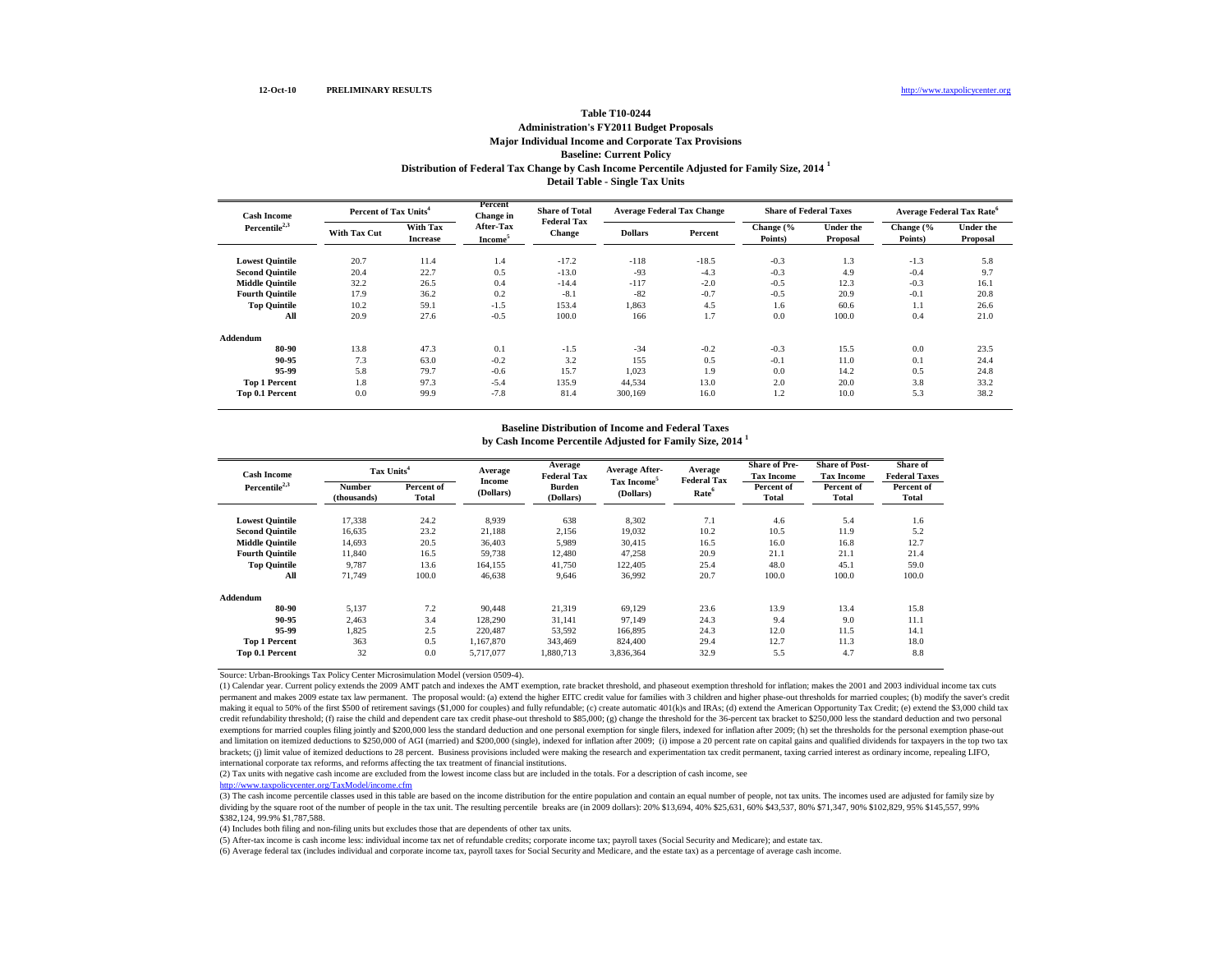### **Distribution of Federal Tax Change by Cash Income Percentile Adjusted for Family Size, 2014 <sup>1</sup> Detail Table - Single Tax Units Table T10-0244 Administration's FY2011 Budget Proposals Major Individual Income and Corporate Tax Provisions Baseline: Current Policy**

| <b>Cash Income</b>     |                     | Percent of Tax Units <sup>4</sup> |                                  | <b>Share of Total</b><br><b>Federal Tax</b> | <b>Average Federal Tax Change</b> |         | <b>Share of Federal Taxes</b> |                              | Average Federal Tax Rate <sup>6</sup> |                              |
|------------------------|---------------------|-----------------------------------|----------------------------------|---------------------------------------------|-----------------------------------|---------|-------------------------------|------------------------------|---------------------------------------|------------------------------|
| Percentile $2,3$       | <b>With Tax Cut</b> | With Tax<br><b>Increase</b>       | After-Tax<br>Income <sup>5</sup> | <b>Change</b>                               | <b>Dollars</b>                    | Percent | Change (%<br>Points)          | <b>Under the</b><br>Proposal | Change (%<br>Points)                  | <b>Under the</b><br>Proposal |
| <b>Lowest Quintile</b> | 20.7                | 11.4                              | 1.4                              | $-17.2$                                     | $-118$                            | $-18.5$ | $-0.3$                        | 1.3                          | $-1.3$                                | 5.8                          |
| <b>Second Quintile</b> | 20.4                | 22.7                              | 0.5                              | $-13.0$                                     | $-93$                             | $-4.3$  | $-0.3$                        | 4.9                          | $-0.4$                                | 9.7                          |
| <b>Middle Quintile</b> | 32.2                | 26.5                              | 0.4                              | $-14.4$                                     | $-117$                            | $-2.0$  | $-0.5$                        | 12.3                         | $-0.3$                                | 16.1                         |
| <b>Fourth Quintile</b> | 17.9                | 36.2                              | 0.2                              | $-8.1$                                      | $-82$                             | $-0.7$  | $-0.5$                        | 20.9                         | $-0.1$                                | 20.8                         |
| <b>Top Quintile</b>    | 10.2                | 59.1                              | $-1.5$                           | 153.4                                       | 1,863                             | 4.5     | 1.6                           | 60.6                         | 1.1                                   | 26.6                         |
| All                    | 20.9                | 27.6                              | $-0.5$                           | 100.0                                       | 166                               | 1.7     | 0.0                           | 100.0                        | 0.4                                   | 21.0                         |
| Addendum               |                     |                                   |                                  |                                             |                                   |         |                               |                              |                                       |                              |
| 80-90                  | 13.8                | 47.3                              | 0.1                              | $-1.5$                                      | $-34$                             | $-0.2$  | $-0.3$                        | 15.5                         | 0.0                                   | 23.5                         |
| 90-95                  | 7.3                 | 63.0                              | $-0.2$                           | 3.2                                         | 155                               | 0.5     | $-0.1$                        | 11.0                         | 0.1                                   | 24.4                         |
| 95-99                  | 5.8                 | 79.7                              | $-0.6$                           | 15.7                                        | 1,023                             | 1.9     | 0.0                           | 14.2                         | 0.5                                   | 24.8                         |
| <b>Top 1 Percent</b>   | 1.8                 | 97.3                              | $-5.4$                           | 135.9                                       | 44,534                            | 13.0    | 2.0                           | 20.0                         | 3.8                                   | 33.2                         |
| Top 0.1 Percent        | 0.0                 | 99.9                              | $-7.8$                           | 81.4                                        | 300,169                           | 16.0    | 1.2                           | 10.0                         | 5.3                                   | 38.2                         |

# **Baseline Distribution of Income and Federal Taxes**

| <b>Cash Income</b>     | Tax Units <sup>4</sup>       |                     | Average             | Average<br><b>Federal Tax</b> | <b>Average After-</b>                | Average<br><b>Federal Tax</b> | <b>Share of Pre-</b><br><b>Tax Income</b> | <b>Share of Post-</b><br><b>Tax Income</b> | Share of<br><b>Federal Taxes</b> |
|------------------------|------------------------------|---------------------|---------------------|-------------------------------|--------------------------------------|-------------------------------|-------------------------------------------|--------------------------------------------|----------------------------------|
| Percentile $2,3$       | <b>Number</b><br>(thousands) | Percent of<br>Total | Income<br>(Dollars) | <b>Burden</b><br>(Dollars)    | Tax Income <sup>5</sup><br>(Dollars) | Rate <sup>6</sup>             | Percent of<br><b>Total</b>                | Percent of<br>Total                        | Percent of<br>Total              |
| <b>Lowest Quintile</b> | 17,338                       | 24.2                | 8,939               | 638                           | 8,302                                | 7.1                           | 4.6                                       | 5.4                                        | 1.6                              |
| <b>Second Quintile</b> | 16.635                       | 23.2                | 21,188              | 2,156                         | 19.032                               | 10.2                          | 10.5                                      | 11.9                                       | 5.2                              |
| <b>Middle Quintile</b> | 14.693                       | 20.5                | 36.403              | 5,989                         | 30.415                               | 16.5                          | 16.0                                      | 16.8                                       | 12.7                             |
| <b>Fourth Ouintile</b> | 11.840                       | 16.5                | 59.738              | 12,480                        | 47,258                               | 20.9                          | 21.1                                      | 21.1                                       | 21.4                             |
| <b>Top Quintile</b>    | 9.787                        | 13.6                | 164,155             | 41,750                        | 122,405                              | 25.4                          | 48.0                                      | 45.1                                       | 59.0                             |
| All                    | 71.749                       | 100.0               | 46.638              | 9.646                         | 36,992                               | 20.7                          | 100.0                                     | 100.0                                      | 100.0                            |
| Addendum               |                              |                     |                     |                               |                                      |                               |                                           |                                            |                                  |
| 80-90                  | 5.137                        | 7.2                 | 90,448              | 21,319                        | 69.129                               | 23.6                          | 13.9                                      | 13.4                                       | 15.8                             |
| 90-95                  | 2,463                        | 3.4                 | 128,290             | 31,141                        | 97,149                               | 24.3                          | 9.4                                       | 9.0                                        | 11.1                             |
| 95-99                  | 1,825                        | 2.5                 | 220,487             | 53,592                        | 166,895                              | 24.3                          | 12.0                                      | 11.5                                       | 14.1                             |
| <b>Top 1 Percent</b>   | 363                          | 0.5                 | 1,167,870           | 343,469                       | 824,400                              | 29.4                          | 12.7                                      | 11.3                                       | 18.0                             |
| Top 0.1 Percent        | 32                           | 0.0                 | 5,717,077           | 1,880,713                     | 3,836,364                            | 32.9                          | 5.5                                       | 4.7                                        | 8.8                              |

**by Cash Income Percentile Adjusted for Family Size, 2014 <sup>1</sup>**

Source: Urban-Brookings Tax Policy Center Microsimulation Model (version 0509-4).

(1) Calendar year. Current policy extends the 2009 AMT patch and indexes the AMT exemption, rate bracket threshold, and phaseout exemption threshold for inflation; makes the 2001 and 2003 individual income tax cuts permanent and makes 2009 estate tax law permanent. The proposal would: (a) extend the higher EITC credit value for families with 3 children and higher phase-out thresholds for married couples; (b) modify the saver's credit making it equal to 50% of the first \$500 of retirement savings (\$1,000 for couples) and fully refundable; (c) create automatic 401(k)s and IRAs; (d) extend the American Opportunity Tax Credit; (e) extend the \$3,000 child t credit refundability threshold; (f) raise the child and dependent care tax credit phase-out threshold to \$85,000; (g) change the threshold for the 36-percent tax bracket to \$250,000 less the standard deduction and two pers exemptions for married couples filing jointly and \$200,000 less the standard deduction and one personal exemption for single filers, indexed for inflation after 2009; (h) set the thresholds for the personal exemption phase and limitation on itemized deductions to \$250,000 of AGI (married) and \$200,000 (single), indexed for inflation after 2009; (i) impose a 20 percent rate on capital gains and qualified dividends for taxpayers in the top two brackets; (j) limit value of itemized deductions to 28 percent. Business provisions included were making the research and experimentation tax credit permanent, taxing carried interest as ordinary income, repealing LIFO, international corporate tax reforms, and reforms affecting the tax treatment of financial institutions.

(2) Tax units with negative cash income are excluded from the lowest income class but are included in the totals. For a description of cash income, see

<http://www.taxpolicycenter.org/TaxModel/income.cfm>

(3) The cash income percentile classes used in this table are based on the income distribution for the entire population and contain an equal number of people, not tax units. The incomes used are adjusted for family size by dividing by the square root of the number of people in the tax unit. The resulting percentile breaks are (in 2009 dollars): 20% \$13,694, 40% \$25,631, 60% \$43,537, 80% \$71,347, 90% \$102,829, 95% \$145,557, 99% \$382,124, 99.9% \$1,787,588.

(4) Includes both filing and non-filing units but excludes those that are dependents of other tax units.

(5) After-tax income is cash income less: individual income tax net of refundable credits; corporate income tax; payroll taxes (Social Security and Medicare); and estate tax.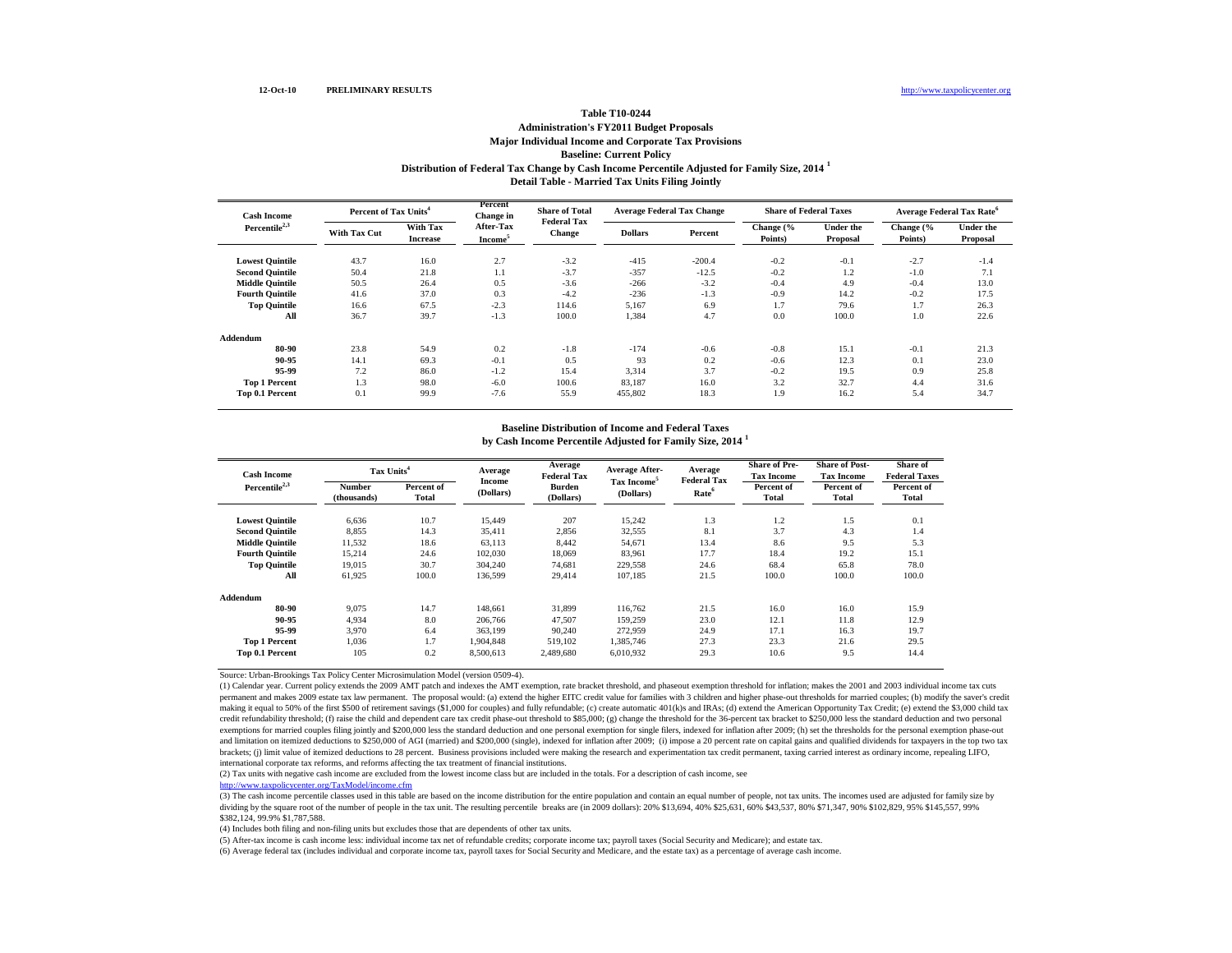### **Distribution of Federal Tax Change by Cash Income Percentile Adjusted for Family Size, 2014 <sup>1</sup> Detail Table - Married Tax Units Filing Jointly Table T10-0244 Administration's FY2011 Budget Proposals Major Individual Income and Corporate Tax Provisions Baseline: Current Policy**

| <b>Cash Income</b>     |                     | Percent of Tax Units <sup>4</sup> |                                  | <b>Share of Total</b><br><b>Federal Tax</b> | <b>Average Federal Tax Change</b> |          | <b>Share of Federal Taxes</b> |                              | Average Federal Tax Rate <sup>6</sup> |                              |
|------------------------|---------------------|-----------------------------------|----------------------------------|---------------------------------------------|-----------------------------------|----------|-------------------------------|------------------------------|---------------------------------------|------------------------------|
| Percentile $2,3$       | <b>With Tax Cut</b> | With Tax<br><b>Increase</b>       | After-Tax<br>Income <sup>5</sup> | <b>Change</b>                               | <b>Dollars</b>                    | Percent  | Change (%<br>Points)          | <b>Under the</b><br>Proposal | Change (%<br>Points)                  | <b>Under the</b><br>Proposal |
| <b>Lowest Quintile</b> | 43.7                | 16.0                              | 2.7                              | $-3.2$                                      | $-415$                            | $-200.4$ | $-0.2$                        | $-0.1$                       | $-2.7$                                | $-1.4$                       |
| <b>Second Quintile</b> | 50.4                | 21.8                              | 1.1                              | $-3.7$                                      | $-357$                            | $-12.5$  | $-0.2$                        | 1.2                          | $-1.0$                                | 7.1                          |
| <b>Middle Quintile</b> | 50.5                | 26.4                              | 0.5                              | $-3.6$                                      | $-266$                            | $-3.2$   | $-0.4$                        | 4.9                          | $-0.4$                                | 13.0                         |
| <b>Fourth Quintile</b> | 41.6                | 37.0                              | 0.3                              | $-4.2$                                      | $-236$                            | $-1.3$   | $-0.9$                        | 14.2                         | $-0.2$                                | 17.5                         |
| <b>Top Quintile</b>    | 16.6                | 67.5                              | $-2.3$                           | 114.6                                       | 5,167                             | 6.9      | 1.7                           | 79.6                         | 1.7                                   | 26.3                         |
| All                    | 36.7                | 39.7                              | $-1.3$                           | 100.0                                       | 1,384                             | 4.7      | 0.0                           | 100.0                        | 1.0                                   | 22.6                         |
| Addendum               |                     |                                   |                                  |                                             |                                   |          |                               |                              |                                       |                              |
| 80-90                  | 23.8                | 54.9                              | 0.2                              | $-1.8$                                      | $-174$                            | $-0.6$   | $-0.8$                        | 15.1                         | $-0.1$                                | 21.3                         |
| 90-95                  | 14.1                | 69.3                              | $-0.1$                           | 0.5                                         | 93                                | 0.2      | $-0.6$                        | 12.3                         | 0.1                                   | 23.0                         |
| 95-99                  | 7.2                 | 86.0                              | $-1.2$                           | 15.4                                        | 3,314                             | 3.7      | $-0.2$                        | 19.5                         | 0.9                                   | 25.8                         |
| <b>Top 1 Percent</b>   | 1.3                 | 98.0                              | $-6.0$                           | 100.6                                       | 83.187                            | 16.0     | 3.2                           | 32.7                         | 4.4                                   | 31.6                         |
| Top 0.1 Percent        | 0.1                 | 99.9                              | $-7.6$                           | 55.9                                        | 455,802                           | 18.3     | 1.9                           | 16.2                         | 5.4                                   | 34.7                         |

# **Baseline Distribution of Income and Federal Taxes**

| <b>Cash Income</b>     | Tax Units <sup>4</sup>       |                     | Average<br>Income | Average<br><b>Federal Tax</b> | Average After-<br>Tax Income <sup>5</sup> | Average<br><b>Federal Tax</b> | <b>Share of Pre-</b><br><b>Tax Income</b> | <b>Share of Post-</b><br><b>Tax Income</b> | Share of<br><b>Federal Taxes</b> |
|------------------------|------------------------------|---------------------|-------------------|-------------------------------|-------------------------------------------|-------------------------------|-------------------------------------------|--------------------------------------------|----------------------------------|
| Percentile $2,3$       | <b>Number</b><br>(thousands) | Percent of<br>Total | (Dollars)         | <b>Burden</b><br>(Dollars)    | (Dollars)                                 | Rate <sup>6</sup>             | Percent of<br><b>Total</b>                | Percent of<br>Total                        | Percent of<br>Total              |
| <b>Lowest Quintile</b> | 6,636                        | 10.7                | 15,449            | 207                           | 15,242                                    | 1.3                           | 1.2                                       | 1.5                                        | 0.1                              |
| <b>Second Quintile</b> | 8,855                        | 14.3                | 35,411            | 2,856                         | 32,555                                    | 8.1                           | 3.7                                       | 4.3                                        | 1.4                              |
| <b>Middle Quintile</b> | 11,532                       | 18.6                | 63,113            | 8,442                         | 54,671                                    | 13.4                          | 8.6                                       | 9.5                                        | 5.3                              |
| <b>Fourth Quintile</b> | 15,214                       | 24.6                | 102,030           | 18,069                        | 83,961                                    | 17.7                          | 18.4                                      | 19.2                                       | 15.1                             |
| <b>Top Quintile</b>    | 19,015                       | 30.7                | 304,240           | 74,681                        | 229,558                                   | 24.6                          | 68.4                                      | 65.8                                       | 78.0                             |
| All                    | 61,925                       | 100.0               | 136,599           | 29,414                        | 107,185                                   | 21.5                          | 100.0                                     | 100.0                                      | 100.0                            |
| Addendum               |                              |                     |                   |                               |                                           |                               |                                           |                                            |                                  |
| 80-90                  | 9,075                        | 14.7                | 148.661           | 31,899                        | 116,762                                   | 21.5                          | 16.0                                      | 16.0                                       | 15.9                             |
| 90-95                  | 4.934                        | 8.0                 | 206,766           | 47.507                        | 159,259                                   | 23.0                          | 12.1                                      | 11.8                                       | 12.9                             |
| 95-99                  | 3.970                        | 6.4                 | 363.199           | 90,240                        | 272.959                                   | 24.9                          | 17.1                                      | 16.3                                       | 19.7                             |
| <b>Top 1 Percent</b>   | 1.036                        | 1.7                 | 1.904.848         | 519,102                       | 1,385,746                                 | 27.3                          | 23.3                                      | 21.6                                       | 29.5                             |
| Top 0.1 Percent        | 105                          | 0.2                 | 8,500,613         | 2.489.680                     | 6,010,932                                 | 29.3                          | 10.6                                      | 9.5                                        | 14.4                             |

**by Cash Income Percentile Adjusted for Family Size, 2014 <sup>1</sup>**

Source: Urban-Brookings Tax Policy Center Microsimulation Model (version 0509-4).

(1) Calendar year. Current policy extends the 2009 AMT patch and indexes the AMT exemption, rate bracket threshold, and phaseout exemption threshold for inflation; makes the 2001 and 2003 individual income tax cuts permanent and makes 2009 estate tax law permanent. The proposal would: (a) extend the higher EITC credit value for families with 3 children and higher phase-out thresholds for married couples; (b) modify the saver's credit making it equal to 50% of the first \$500 of retirement savings (\$1,000 for couples) and fully refundable; (c) create automatic 401(k)s and IRAs; (d) extend the American Opportunity Tax Credit; (e) extend the \$3,000 child t credit refundability threshold; (f) raise the child and dependent care tax credit phase-out threshold to \$85,000; (g) change the threshold for the 36-percent tax bracket to \$250,000 less the standard deduction and two pers exemptions for married couples filing jointly and \$200,000 less the standard deduction and one personal exemption for single filers, indexed for inflation after 2009; (h) set the thresholds for the personal exemption phase and limitation on itemized deductions to \$250,000 of AGI (married) and \$200,000 (single), indexed for inflation after 2009; (i) impose a 20 percent rate on capital gains and qualified dividends for taxpayers in the top two brackets; (j) limit value of itemized deductions to 28 percent. Business provisions included were making the research and experimentation tax credit permanent, taxing carried interest as ordinary income, repealing LIFO, international corporate tax reforms, and reforms affecting the tax treatment of financial institutions.

(2) Tax units with negative cash income are excluded from the lowest income class but are included in the totals. For a description of cash income, see

<http://www.taxpolicycenter.org/TaxModel/income.cfm>

(3) The cash income percentile classes used in this table are based on the income distribution for the entire population and contain an equal number of people, not tax units. The incomes used are adjusted for family size by dividing by the square root of the number of people in the tax unit. The resulting percentile breaks are (in 2009 dollars): 20% \$13,694, 40% \$25,631, 60% \$43,537, 80% \$71,347, 90% \$102,829, 95% \$145,557, 99% \$382,124, 99.9% \$1,787,588.

(4) Includes both filing and non-filing units but excludes those that are dependents of other tax units.

(5) After-tax income is cash income less: individual income tax net of refundable credits; corporate income tax; payroll taxes (Social Security and Medicare); and estate tax.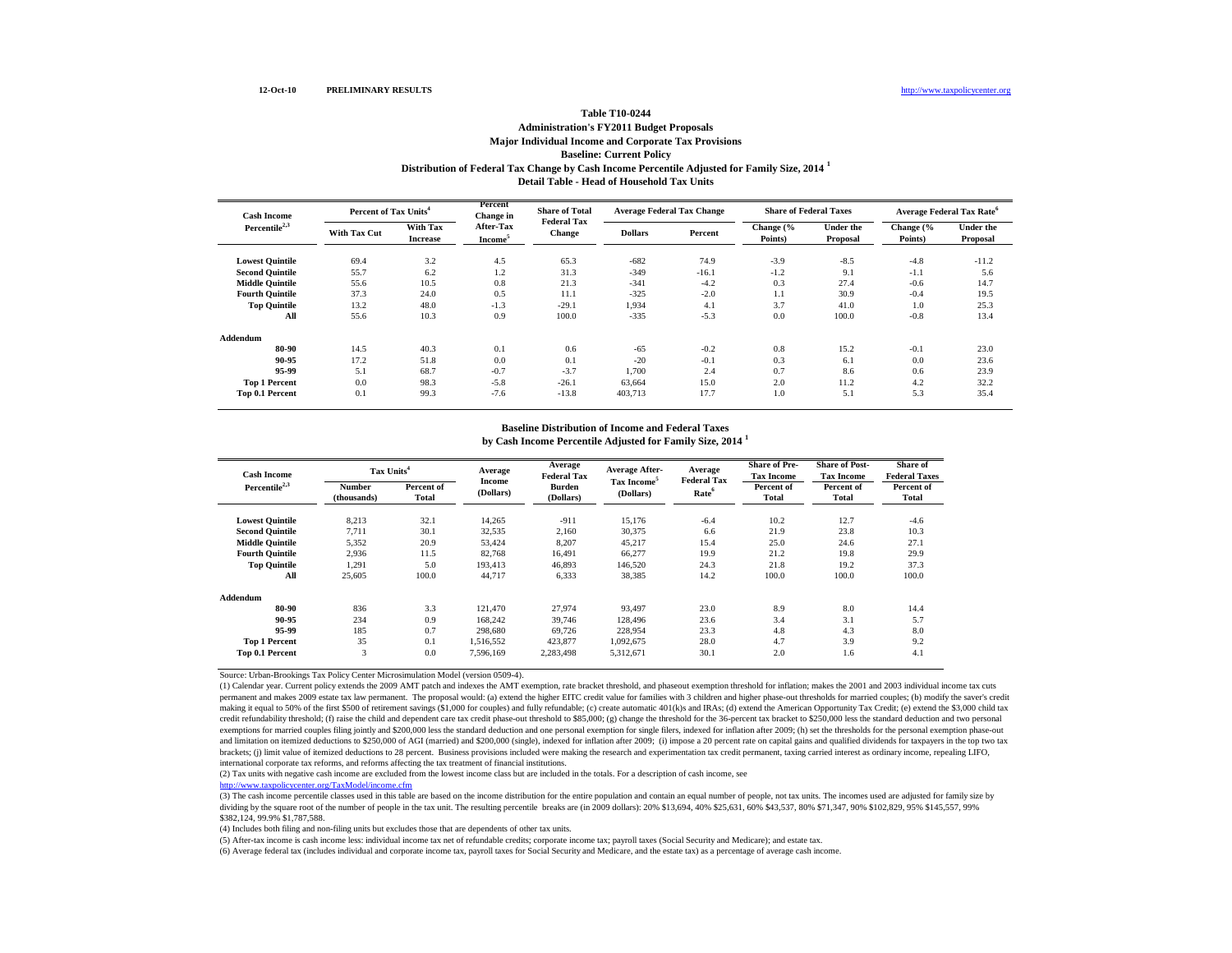### **Distribution of Federal Tax Change by Cash Income Percentile Adjusted for Family Size, 2014 <sup>1</sup> Detail Table - Head of Household Tax Units Table T10-0244 Administration's FY2011 Budget Proposals Major Individual Income and Corporate Tax Provisions Baseline: Current Policy**

| <b>Cash Income</b>        | Percent of Tax Units <sup>4</sup> |                             | Percent<br>Change in             | <b>Share of Total</b><br><b>Federal Tax</b> | <b>Average Federal Tax Change</b> |         | <b>Share of Federal Taxes</b> |                              | Average Federal Tax Rate <sup>6</sup> |                              |
|---------------------------|-----------------------------------|-----------------------------|----------------------------------|---------------------------------------------|-----------------------------------|---------|-------------------------------|------------------------------|---------------------------------------|------------------------------|
| Percentile <sup>2,3</sup> | <b>With Tax Cut</b>               | With Tax<br><b>Increase</b> | After-Tax<br>Income <sup>5</sup> | <b>Change</b>                               | <b>Dollars</b>                    | Percent | Change (%<br>Points)          | <b>Under the</b><br>Proposal | Change (%<br>Points)                  | <b>Under the</b><br>Proposal |
| <b>Lowest Quintile</b>    | 69.4                              | 3.2                         | 4.5                              | 65.3                                        | $-682$                            | 74.9    | $-3.9$                        | $-8.5$                       | $-4.8$                                | $-11.2$                      |
| <b>Second Quintile</b>    | 55.7                              | 6.2                         | 1.2                              | 31.3                                        | $-349$                            | $-16.1$ | $-1.2$                        | 9.1                          | $-1.1$                                | 5.6                          |
| <b>Middle Quintile</b>    | 55.6                              | 10.5                        | 0.8                              | 21.3                                        | $-341$                            | $-4.2$  | 0.3                           | 27.4                         | $-0.6$                                | 14.7                         |
| <b>Fourth Quintile</b>    | 37.3                              | 24.0                        | 0.5                              | 11.1                                        | $-325$                            | $-2.0$  | 1.1                           | 30.9                         | $-0.4$                                | 19.5                         |
| <b>Top Quintile</b>       | 13.2                              | 48.0                        | $-1.3$                           | $-29.1$                                     | 1,934                             | 4.1     | 3.7                           | 41.0                         | 1.0                                   | 25.3                         |
| All                       | 55.6                              | 10.3                        | 0.9                              | 100.0                                       | $-335$                            | $-5.3$  | 0.0                           | 100.0                        | $-0.8$                                | 13.4                         |
| Addendum                  |                                   |                             |                                  |                                             |                                   |         |                               |                              |                                       |                              |
| 80-90                     | 14.5                              | 40.3                        | 0.1                              | 0.6                                         | $-65$                             | $-0.2$  | 0.8                           | 15.2                         | $-0.1$                                | 23.0                         |
| 90-95                     | 17.2                              | 51.8                        | 0.0                              | 0.1                                         | $-20$                             | $-0.1$  | 0.3                           | 6.1                          | 0.0                                   | 23.6                         |
| 95-99                     | 5.1                               | 68.7                        | $-0.7$                           | $-3.7$                                      | 1.700                             | 2.4     | 0.7                           | 8.6                          | 0.6                                   | 23.9                         |
| <b>Top 1 Percent</b>      | 0.0                               | 98.3                        | $-5.8$                           | $-26.1$                                     | 63.664                            | 15.0    | 2.0                           | 11.2                         | 4.2                                   | 32.2                         |
| <b>Top 0.1 Percent</b>    | 0.1                               | 99.3                        | $-7.6$                           | $-13.8$                                     | 403,713                           | 17.7    | 1.0                           | 5.1                          | 5.3                                   | 35.4                         |

## **Baseline Distribution of Income and Federal Taxes**

| <b>Cash Income</b>     | Tax Units <sup>4</sup> |                     | Average             | Average<br><b>Federal Tax</b> | Average After-<br>Tax Income <sup>5</sup> | Average<br><b>Federal Tax</b> | <b>Share of Pre-</b><br><b>Tax Income</b> | <b>Share of Post-</b><br><b>Tax Income</b> | <b>Share of</b><br><b>Federal Taxes</b> |
|------------------------|------------------------|---------------------|---------------------|-------------------------------|-------------------------------------------|-------------------------------|-------------------------------------------|--------------------------------------------|-----------------------------------------|
| Percentile $2,3$       | Number<br>(thousands)  | Percent of<br>Total | Income<br>(Dollars) | <b>Burden</b><br>(Dollars)    | (Dollars)                                 | Rate <sup>6</sup>             | Percent of<br><b>Total</b>                | Percent of<br>Total                        | Percent of<br>Total                     |
| <b>Lowest Quintile</b> | 8,213                  | 32.1                | 14,265              | $-911$                        | 15,176                                    | $-6.4$                        | 10.2                                      | 12.7                                       | $-4.6$                                  |
| <b>Second Quintile</b> | 7.711                  | 30.1                | 32,535              | 2.160                         | 30,375                                    | 6.6                           | 21.9                                      | 23.8                                       | 10.3                                    |
| <b>Middle Quintile</b> | 5,352                  | 20.9                | 53.424              | 8,207                         | 45,217                                    | 15.4                          | 25.0                                      | 24.6                                       | 27.1                                    |
| <b>Fourth Ouintile</b> | 2,936                  | 11.5                | 82.768              | 16.491                        | 66,277                                    | 19.9                          | 21.2                                      | 19.8                                       | 29.9                                    |
| <b>Top Quintile</b>    | 1,291                  | 5.0                 | 193.413             | 46,893                        | 146,520                                   | 24.3                          | 21.8                                      | 19.2                                       | 37.3                                    |
| All                    | 25,605                 | 100.0               | 44.717              | 6,333                         | 38,385                                    | 14.2                          | 100.0                                     | 100.0                                      | 100.0                                   |
| Addendum               |                        |                     |                     |                               |                                           |                               |                                           |                                            |                                         |
| 80-90                  | 836                    | 3.3                 | 121.470             | 27,974                        | 93.497                                    | 23.0                          | 8.9                                       | 8.0                                        | 14.4                                    |
| 90-95                  | 234                    | 0.9                 | 168.242             | 39,746                        | 128,496                                   | 23.6                          | 3.4                                       | 3.1                                        | 5.7                                     |
| 95-99                  | 185                    | 0.7                 | 298,680             | 69,726                        | 228,954                                   | 23.3                          | 4.8                                       | 4.3                                        | 8.0                                     |
| <b>Top 1 Percent</b>   | 35                     | 0.1                 | 1,516,552           | 423,877                       | 1,092,675                                 | 28.0                          | 4.7                                       | 3.9                                        | 9.2                                     |
| Top 0.1 Percent        | 3                      | 0.0                 | 7,596,169           | 2,283,498                     | 5,312,671                                 | 30.1                          | 2.0                                       | 1.6                                        | 4.1                                     |

**by Cash Income Percentile Adjusted for Family Size, 2014 <sup>1</sup>**

Source: Urban-Brookings Tax Policy Center Microsimulation Model (version 0509-4).

(1) Calendar year. Current policy extends the 2009 AMT patch and indexes the AMT exemption, rate bracket threshold, and phaseout exemption threshold for inflation; makes the 2001 and 2003 individual income tax cuts permanent and makes 2009 estate tax law permanent. The proposal would: (a) extend the higher EITC credit value for families with 3 children and higher phase-out thresholds for married couples; (b) modify the saver's credit making it equal to 50% of the first \$500 of retirement savings (\$1,000 for couples) and fully refundable; (c) create automatic 401(k)s and IRAs; (d) extend the American Opportunity Tax Credit; (e) extend the \$3,000 child t credit refundability threshold; (f) raise the child and dependent care tax credit phase-out threshold to \$85,000; (g) change the threshold for the 36-percent tax bracket to \$250,000 less the standard deduction and two pers exemptions for married couples filing jointly and \$200,000 less the standard deduction and one personal exemption for single filers, indexed for inflation after 2009; (h) set the thresholds for the personal exemption phase and limitation on itemized deductions to \$250,000 of AGI (married) and \$200,000 (single), indexed for inflation after 2009; (i) impose a 20 percent rate on capital gains and qualified dividends for taxpayers in the top two brackets; (j) limit value of itemized deductions to 28 percent. Business provisions included were making the research and experimentation tax credit permanent, taxing carried interest as ordinary income, repealing LIFO, international corporate tax reforms, and reforms affecting the tax treatment of financial institutions.

(2) Tax units with negative cash income are excluded from the lowest income class but are included in the totals. For a description of cash income, see

<http://www.taxpolicycenter.org/TaxModel/income.cfm>

(3) The cash income percentile classes used in this table are based on the income distribution for the entire population and contain an equal number of people, not tax units. The incomes used are adjusted for family size by dividing by the square root of the number of people in the tax unit. The resulting percentile breaks are (in 2009 dollars): 20% \$13,694, 40% \$25,631, 60% \$43,537, 80% \$71,347, 90% \$102,829, 95% \$145,557, 99% \$382,124, 99.9% \$1,787,588.

(4) Includes both filing and non-filing units but excludes those that are dependents of other tax units.

(5) After-tax income is cash income less: individual income tax net of refundable credits; corporate income tax; payroll taxes (Social Security and Medicare); and estate tax.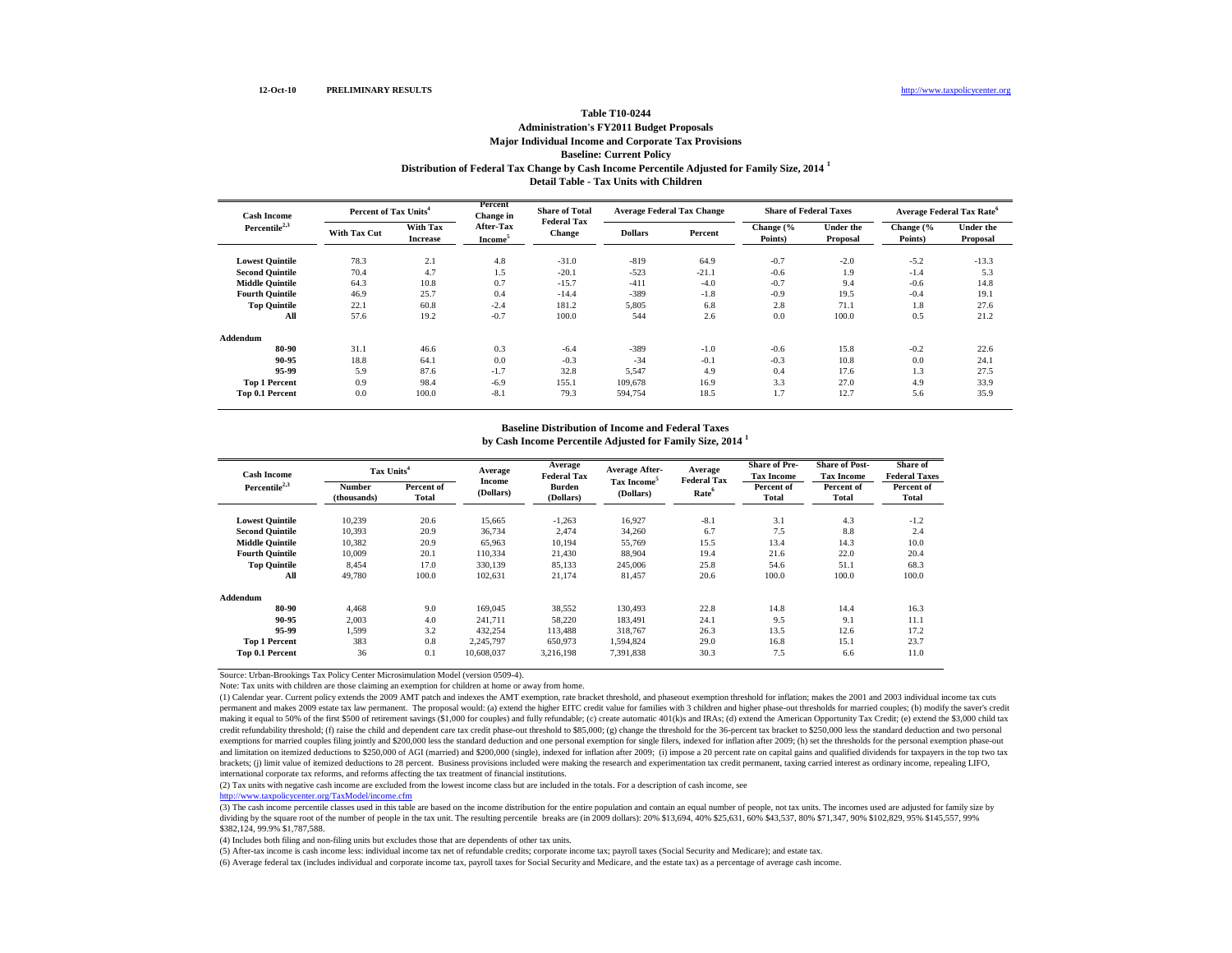### **Distribution of Federal Tax Change by Cash Income Percentile Adjusted for Family Size, 2014 <sup>1</sup> Detail Table - Tax Units with Children Table T10-0244 Administration's FY2011 Budget Proposals Major Individual Income and Corporate Tax Provisions Baseline: Current Policy**

| <b>Cash Income</b>        | Percent of Tax Units <sup>4</sup> |                             | Percent<br>Change in             | <b>Share of Total</b>               |                | <b>Average Federal Tax Change</b> | <b>Share of Federal Taxes</b> |                              |                      | Average Federal Tax Rate <sup>6</sup> |
|---------------------------|-----------------------------------|-----------------------------|----------------------------------|-------------------------------------|----------------|-----------------------------------|-------------------------------|------------------------------|----------------------|---------------------------------------|
| Percentile <sup>2,3</sup> | <b>With Tax Cut</b>               | With Tax<br><b>Increase</b> | After-Tax<br>Income <sup>5</sup> | <b>Federal Tax</b><br><b>Change</b> | <b>Dollars</b> | Percent                           | Change (%<br>Points)          | <b>Under the</b><br>Proposal | Change (%<br>Points) | <b>Under the</b><br>Proposal          |
| <b>Lowest Quintile</b>    | 78.3                              | 2.1                         | 4.8                              | $-31.0$                             | $-819$         | 64.9                              | $-0.7$                        | $-2.0$                       | $-5.2$               | $-13.3$                               |
| <b>Second Quintile</b>    | 70.4                              | 4.7                         | 1.5                              | $-20.1$                             | $-523$         | $-21.1$                           | $-0.6$                        | 1.9                          | $-1.4$               | 5.3                                   |
| <b>Middle Quintile</b>    | 64.3                              | 10.8                        | 0.7                              | $-15.7$                             | $-411$         | $-4.0$                            | $-0.7$                        | 9.4                          | $-0.6$               | 14.8                                  |
| <b>Fourth Ouintile</b>    | 46.9                              | 25.7                        | 0.4                              | $-14.4$                             | $-389$         | $-1.8$                            | $-0.9$                        | 19.5                         | $-0.4$               | 19.1                                  |
| <b>Top Quintile</b>       | 22.1                              | 60.8                        | $-2.4$                           | 181.2                               | 5,805          | 6.8                               | 2.8                           | 71.1                         | 1.8                  | 27.6                                  |
| All                       | 57.6                              | 19.2                        | $-0.7$                           | 100.0                               | 544            | 2.6                               | 0.0                           | 100.0                        | 0.5                  | 21.2                                  |
| Addendum                  |                                   |                             |                                  |                                     |                |                                   |                               |                              |                      |                                       |
| 80-90                     | 31.1                              | 46.6                        | 0.3                              | $-6.4$                              | $-389$         | $-1.0$                            | $-0.6$                        | 15.8                         | $-0.2$               | 22.6                                  |
| 90-95                     | 18.8                              | 64.1                        | 0.0                              | $-0.3$                              | $-34$          | $-0.1$                            | $-0.3$                        | 10.8                         | 0.0                  | 24.1                                  |
| 95-99                     | 5.9                               | 87.6                        | $-1.7$                           | 32.8                                | 5,547          | 4.9                               | 0.4                           | 17.6                         | 1.3                  | 27.5                                  |
| <b>Top 1 Percent</b>      | 0.9                               | 98.4                        | $-6.9$                           | 155.1                               | 109,678        | 16.9                              | 3.3                           | 27.0                         | 4.9                  | 33.9                                  |
| Top 0.1 Percent           | 0.0                               | 100.0                       | $-8.1$                           | 79.3                                | 594,754        | 18.5                              | 1.7                           | 12.7                         | 5.6                  | 35.9                                  |

# **Baseline Distribution of Income and Federal Taxes**

| <b>Cash Income</b>     | Tax Units <sup>4</sup> |                     | Average             | Average<br><b>Federal Tax</b> | <b>Average After-</b>                | Average                                 | <b>Share of Pre-</b><br><b>Tax Income</b> | <b>Share of Post-</b><br><b>Tax Income</b> | Share of<br><b>Federal Taxes</b> |
|------------------------|------------------------|---------------------|---------------------|-------------------------------|--------------------------------------|-----------------------------------------|-------------------------------------------|--------------------------------------------|----------------------------------|
| Percentile $2,3$       | Number<br>(thousands)  | Percent of<br>Total | Income<br>(Dollars) | <b>Burden</b><br>(Dollars)    | Tax Income <sup>5</sup><br>(Dollars) | <b>Federal Tax</b><br>Rate <sup>6</sup> | Percent of<br>Total                       | Percent of<br><b>Total</b>                 | Percent of<br>Total              |
| <b>Lowest Quintile</b> | 10.239                 | 20.6                | 15,665              | $-1,263$                      | 16.927                               | $-8.1$                                  | 3.1                                       | 4.3                                        | $-1.2$                           |
| <b>Second Quintile</b> | 10.393                 | 20.9                | 36,734              | 2.474                         | 34,260                               | 6.7                                     | 7.5                                       | 8.8                                        | 2.4                              |
| <b>Middle Quintile</b> | 10.382                 | 20.9                | 65,963              | 10,194                        | 55,769                               | 15.5                                    | 13.4                                      | 14.3                                       | 10.0                             |
| <b>Fourth Quintile</b> | 10.009                 | 20.1                | 110,334             | 21.430                        | 88.904                               | 19.4                                    | 21.6                                      | 22.0                                       | 20.4                             |
| <b>Top Quintile</b>    | 8,454                  | 17.0                | 330,139             | 85,133                        | 245,006                              | 25.8                                    | 54.6                                      | 51.1                                       | 68.3                             |
| All                    | 49.780                 | 100.0               | 102,631             | 21,174                        | 81.457                               | 20.6                                    | 100.0                                     | 100.0                                      | 100.0                            |
| Addendum               |                        |                     |                     |                               |                                      |                                         |                                           |                                            |                                  |
| 80-90                  | 4.468                  | 9.0                 | 169,045             | 38.552                        | 130,493                              | 22.8                                    | 14.8                                      | 14.4                                       | 16.3                             |
| 90-95                  | 2,003                  | 4.0                 | 241,711             | 58.220                        | 183.491                              | 24.1                                    | 9.5                                       | 9.1                                        | 11.1                             |
| 95-99                  | 1,599                  | 3.2                 | 432,254             | 113.488                       | 318,767                              | 26.3                                    | 13.5                                      | 12.6                                       | 17.2                             |
| <b>Top 1 Percent</b>   | 383                    | 0.8                 | 2,245,797           | 650,973                       | 1.594.824                            | 29.0                                    | 16.8                                      | 15.1                                       | 23.7                             |
| Top 0.1 Percent        | 36                     | 0.1                 | 10,608,037          | 3,216,198                     | 7,391,838                            | 30.3                                    | 7.5                                       | 6.6                                        | 11.0                             |

**by Cash Income Percentile Adjusted for Family Size, 2014 <sup>1</sup>**

Source: Urban-Brookings Tax Policy Center Microsimulation Model (version 0509-4).

Note: Tax units with children are those claiming an exemption for children at home or away from home.

(1) Calendar year. Current policy extends the 2009 AMT patch and indexes the AMT exemption, rate bracket threshold, and phaseout exemption threshold for inflation; makes the 2001 and 2003 individual income tax cuts permanent and makes 2009 estate tax law permanent. The proposal would: (a) extend the higher EITC credit value for families with 3 children and higher phase-out thresholds for married couples; (b) modify the saver's credit making it equal to 50% of the first \$500 of retirement savings (\$1,000 for couples) and fully refundable; (c) create automatic 401(k)s and IRAs; (d) extend the American Opportunity Tax Credit; (e) extend the \$3,000 child t credit refundability threshold; (f) raise the child and dependent care tax credit phase-out threshold to \$85,000; (g) change the threshold for the 36-percent tax bracket to \$250,000 less the standard deduction and two pers exemptions for married couples filing jointly and \$200,000 less the standard deduction and one personal exemption for single filers, indexed for inflation after 2009; (h) set the thresholds for the personal exemption phase and limitation on itemized deductions to \$250,000 of AGI (married) and \$200,000 (single), indexed for inflation after 2009; (i) impose a 20 percent rate on capital gains and qualified dividends for taxpayers in the top two brackets; (j) limit value of itemized deductions to 28 percent. Business provisions included were making the research and experimentation tax credit permanent, taxing carried interest as ordinary income, repealing LIFO, international corporate tax reforms, and reforms affecting the tax treatment of financial institutions.

(2) Tax units with negative cash income are excluded from the lowest income class but are included in the totals. For a description of cash income, see

<http://www.taxpolicycenter.org/TaxModel/income.cfm>

(3) The cash income percentile classes used in this table are based on the income distribution for the entire population and contain an equal number of people, not tax units. The incomes used are adjusted for family size by dividing by the square root of the number of people in the tax unit. The resulting percentile breaks are (in 2009 dollars): 20% \$1,604, 40% \$25,631, 60% \$43,537, 80% \$71,347, 90% \$102,829, 95% \$145,557, 99% \$382,124, 99.9% \$1,787,588.

(4) Includes both filing and non-filing units but excludes those that are dependents of other tax units.

(5) After-tax income is cash income less: individual income tax net of refundable credits; corporate income tax; payroll taxes (Social Security and Medicare); and estate tax.